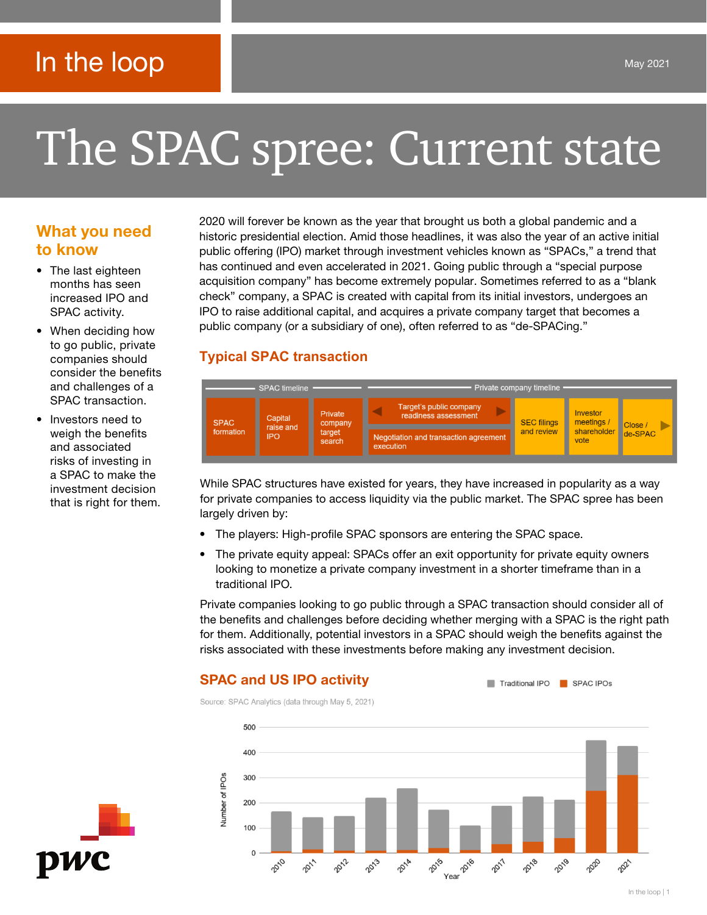# In the loop

# The SPAC spree: Current state

# What you need to know

- The last eighteen months has seen increased IPO and SPAC activity.
- When deciding how to go public, private companies should consider the benefits and challenges of a SPAC transaction.
- Investors need to weigh the benefits and associated risks of investing in a SPAC to make the investment decision that is right for them.

2020 will forever be known as the year that brought us both a global pandemic and a historic presidential election. Amid those headlines, it was also the year of an active initial public offering (IPO) market through investment vehicles known as "SPACs," a trend that has continued and even accelerated in 2021. Going public through a "special purpose acquisition company" has become extremely popular. Sometimes referred to as a "blank check" company, a SPAC is created with capital from its initial investors, undergoes an IPO to raise additional capital, and acquires a private company target that becomes a public company (or a subsidiary of one), often referred to as "de-SPACing."

# **Typical SPAC transaction**



While SPAC structures have existed for years, they have increased in popularity as a way for private companies to access liquidity via the public market. The SPAC spree has been largely driven by:

- The players: High-profile SPAC sponsors are entering the SPAC space.
- The private equity appeal: SPACs offer an exit opportunity for private equity owners looking to monetize a private company investment in a shorter timeframe than in a traditional IPO.

Private companies looking to go public through a SPAC transaction should consider all of the benefits and challenges before deciding whether merging with a SPAC is the right path for them. Additionally, potential investors in a SPAC should weigh the benefits against the risks associated with these investments before making any investment decision.

Traditional IPO SPAC IPOs

# SPAC and US IPO activity

Source: SPAC Analytics (data through May 5, 2021)



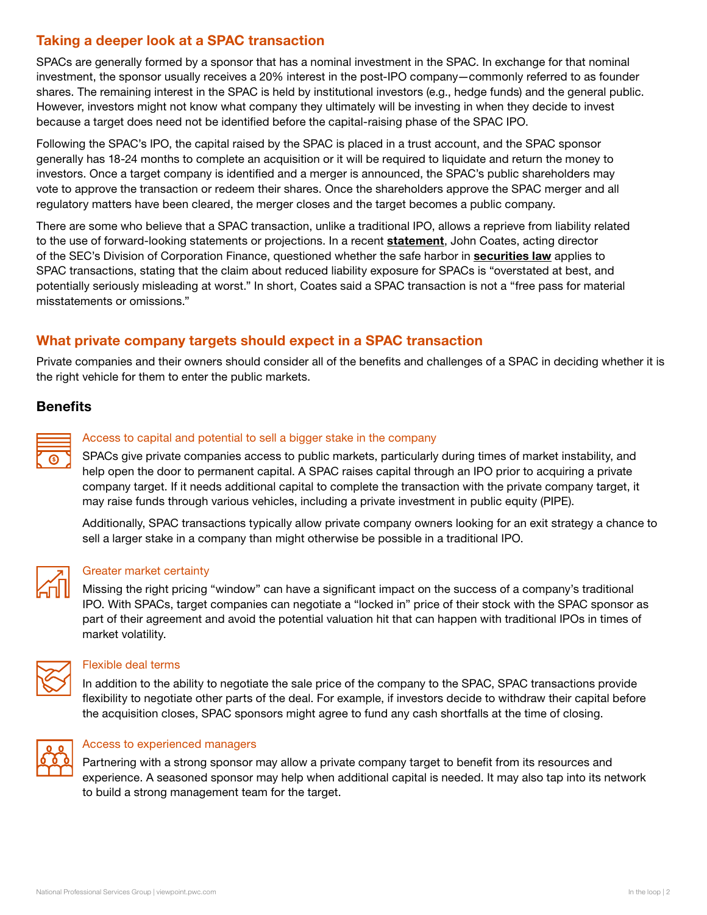# Taking a deeper look at a SPAC transaction

SPACs are generally formed by a sponsor that has a nominal investment in the SPAC. In exchange for that nominal investment, the sponsor usually receives a 20% interest in the post-IPO company—commonly referred to as founder shares. The remaining interest in the SPAC is held by institutional investors (e.g., hedge funds) and the general public. However, investors might not know what company they ultimately will be investing in when they decide to invest because a target does need not be identified before the capital-raising phase of the SPAC IPO.

Following the SPAC's IPO, the capital raised by the SPAC is placed in a trust account, and the SPAC sponsor generally has 18-24 months to complete an acquisition or it will be required to liquidate and return the money to investors. Once a target company is identified and a merger is announced, the SPAC's public shareholders may vote to approve the transaction or redeem their shares. Once the shareholders approve the SPAC merger and all regulatory matters have been cleared, the merger closes and the target becomes a public company.

There are some who believe that a SPAC transaction, unlike a traditional IPO, allows a reprieve from liability related to the use of forward-looking [statement](https://www.sec.gov/news/public-statement/spacs-ipos-liability-risk-under-securities-laws)s or projections. In a recent **statement**, John Coates, acting director of the SEC's Division of Corporation Finance, questioned whether the safe harbor in [securities law](https://www.congress.gov/bill/104th-congress/house-bill/1058/text) applies to SPAC transactions, stating that the claim about reduced liability exposure for SPACs is "overstated at best, and potentially seriously misleading at worst." In short, Coates said a SPAC transaction is not a "free pass for material misstatements or omissions."

# What private company targets should expect in a SPAC transaction

Private companies and their owners should consider all of the benefits and challenges of a SPAC in deciding whether it is the right vehicle for them to enter the public markets.

### **Benefits**



#### Access to capital and potential to sell a bigger stake in the company

SPACs give private companies access to public markets, particularly during times of market instability, and help open the door to permanent capital. A SPAC raises capital through an IPO prior to acquiring a private company target. If it needs additional capital to complete the transaction with the private company target, it may raise funds through various vehicles, including a private investment in public equity (PIPE).

Additionally, SPAC transactions typically allow private company owners looking for an exit strategy a chance to sell a larger stake in a company than might otherwise be possible in a traditional IPO.



#### Greater market certainty

Missing the right pricing "window" can have a significant impact on the success of a company's traditional IPO. With SPACs, target companies can negotiate a "locked in" price of their stock with the SPAC sponsor as part of their agreement and avoid the potential valuation hit that can happen with traditional IPOs in times of market volatility.



#### Flexible deal terms

In addition to the ability to negotiate the sale price of the company to the SPAC, SPAC transactions provide flexibility to negotiate other parts of the deal. For example, if investors decide to withdraw their capital before the acquisition closes, SPAC sponsors might agree to fund any cash shortfalls at the time of closing.



#### Access to experienced managers

Partnering with a strong sponsor may allow a private company target to benefit from its resources and experience. A seasoned sponsor may help when additional capital is needed. It may also tap into its network to build a strong management team for the target.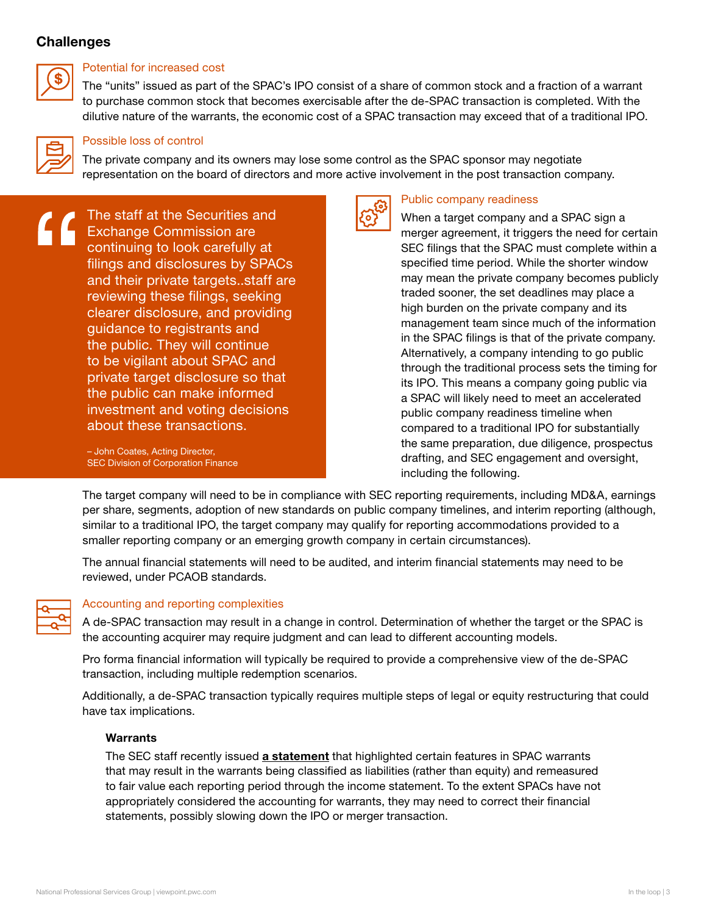#### **Challenges**



#### Potential for increased cost

The "units" issued as part of the SPAC's IPO consist of a share of common stock and a fraction of a warrant to purchase common stock that becomes exercisable after the de-SPAC transaction is completed. With the dilutive nature of the warrants, the economic cost of a SPAC transaction may exceed that of a traditional IPO.



#### Possible loss of control

The private company and its owners may lose some control as the SPAC sponsor may negotiate representation on the board of directors and more active involvement in the post transaction company.



The staff at the Securities and Exchange Commission are continuing to look carefully at filings and disclosures by SPACs and their private targets..staff are reviewing these filings, seeking clearer disclosure, and providing guidance to registrants and the public. They will continue to be vigilant about SPAC and private target disclosure so that the public can make informed investment and voting decisions about these transactions.

– John Coates, Acting Director, SEC Division of Corporation Finance



#### Public company readiness

When a target company and a SPAC sign a merger agreement, it triggers the need for certain SEC filings that the SPAC must complete within a specified time period. While the shorter window may mean the private company becomes publicly traded sooner, the set deadlines may place a high burden on the private company and its management team since much of the information in the SPAC filings is that of the private company. Alternatively, a company intending to go public through the traditional process sets the timing for its IPO. This means a company going public via a SPAC will likely need to meet an accelerated public company readiness timeline when compared to a traditional IPO for substantially the same preparation, due diligence, prospectus drafting, and SEC engagement and oversight, including the following.

The target company will need to be in compliance with SEC reporting requirements, including MD&A, earnings per share, segments, adoption of new standards on public company timelines, and interim reporting (although, similar to a traditional IPO, the target company may qualify for reporting accommodations provided to a smaller reporting company or an emerging growth company in certain circumstances).

The annual financial statements will need to be audited, and interim financial statements may need to be reviewed, under PCAOB standards.



#### Accounting and reporting complexities

A de-SPAC transaction may result in a change in control. Determination of whether the target or the SPAC is the accounting acquirer may require judgment and can lead to different accounting models.

Pro forma financial information will typically be required to provide a comprehensive view of the de-SPAC transaction, including multiple redemption scenarios.

Additionally, a de-SPAC transaction typically requires multiple steps of legal or equity restructuring that could have tax implications.

#### Warrants

The SEC staff recently issued [a statement](https://www.sec.gov/news/public-statement/accounting-reporting-warrants-issued-spacs) that highlighted certain features in SPAC warrants that may result in the warrants being classified as liabilities (rather than equity) and remeasured to fair value each reporting period through the income statement. To the extent SPACs have not appropriately considered the accounting for warrants, they may need to correct their financial statements, possibly slowing down the IPO or merger transaction.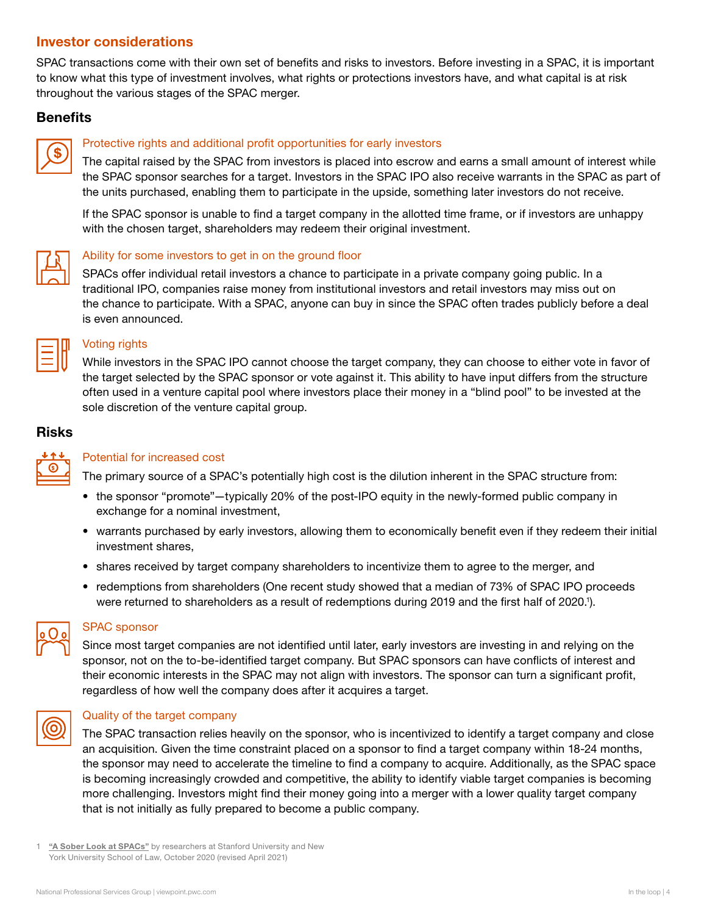# Investor considerations

SPAC transactions come with their own set of benefits and risks to investors. Before investing in a SPAC, it is important to know what this type of investment involves, what rights or protections investors have, and what capital is at risk throughout the various stages of the SPAC merger.

#### **Benefits**



#### Protective rights and additional profit opportunities for early investors

The capital raised by the SPAC from investors is placed into escrow and earns a small amount of interest while the SPAC sponsor searches for a target. Investors in the SPAC IPO also receive warrants in the SPAC as part of the units purchased, enabling them to participate in the upside, something later investors do not receive.

If the SPAC sponsor is unable to find a target company in the allotted time frame, or if investors are unhappy with the chosen target, shareholders may redeem their original investment.



#### Ability for some investors to get in on the ground floor

SPACs offer individual retail investors a chance to participate in a private company going public. In a traditional IPO, companies raise money from institutional investors and retail investors may miss out on the chance to participate. With a SPAC, anyone can buy in since the SPAC often trades publicly before a deal is even announced.

| <b>Service Service</b><br>$\mathcal{L}^{\text{max}}_{\text{max}}$ and $\mathcal{L}^{\text{max}}_{\text{max}}$ and $\mathcal{L}^{\text{max}}_{\text{max}}$ |  |
|-----------------------------------------------------------------------------------------------------------------------------------------------------------|--|
|                                                                                                                                                           |  |
| <b>Service Service</b>                                                                                                                                    |  |

#### Voting rights

While investors in the SPAC IPO cannot choose the target company, they can choose to either vote in favor of the target selected by the SPAC sponsor or vote against it. This ability to have input differs from the structure often used in a venture capital pool where investors place their money in a "blind pool" to be invested at the sole discretion of the venture capital group.

#### Risks



#### Potential for increased cost

The primary source of a SPAC's potentially high cost is the dilution inherent in the SPAC structure from:

- the sponsor "promote"—typically 20% of the post-IPO equity in the newly-formed public company in exchange for a nominal investment,
- warrants purchased by early investors, allowing them to economically benefit even if they redeem their initial investment shares,
- shares received by target company shareholders to incentivize them to agree to the merger, and
- redemptions from shareholders (One recent study showed that a median of 73% of SPAC IPO proceeds were returned to shareholders as a result of redemptions during 2019 and the first half of 2020.').



#### SPAC sponsor

Since most target companies are not identified until later, early investors are investing in and relying on the sponsor, not on the to-be-identified target company. But SPAC sponsors can have conflicts of interest and their economic interests in the SPAC may not align with investors. The sponsor can turn a significant profit, regardless of how well the company does after it acquires a target.



#### Quality of the target company

The SPAC transaction relies heavily on the sponsor, who is incentivized to identify a target company and close an acquisition. Given the time constraint placed on a sponsor to find a target company within 18-24 months, the sponsor may need to accelerate the timeline to find a company to acquire. Additionally, as the SPAC space is becoming increasingly crowded and competitive, the ability to identify viable target companies is becoming more challenging. Investors might find their money going into a merger with a lower quality target company that is not initially as fully prepared to become a public company.

["A Sober Look at SPACs"](https://papers.ssrn.com/sol3/papers.cfm?abstract_id=3720919) by researchers at Stanford University and New York University School of Law, October 2020 (revised April 2021)